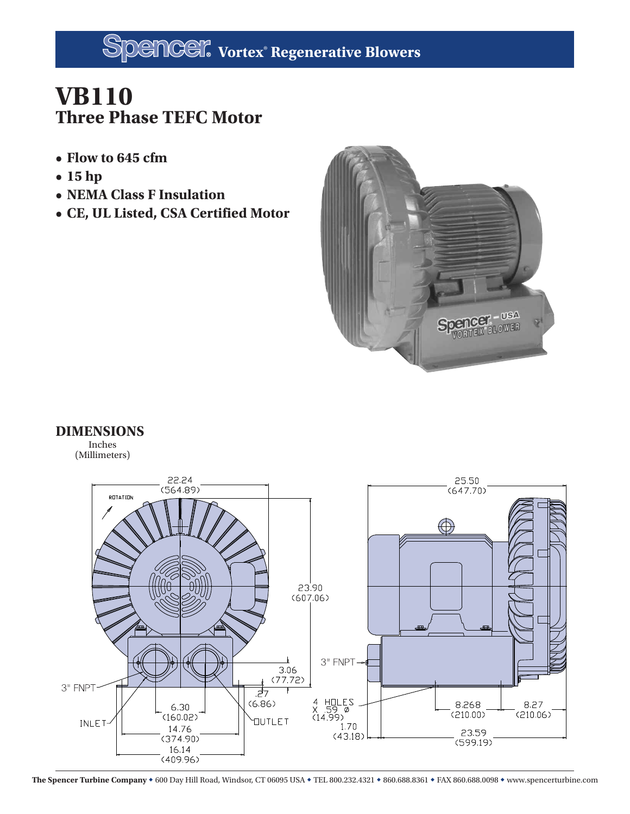## **VB110 Three Phase TEFC Motor**

- **Flow to 645 cfm**
- **15 hp**
- **NEMA Class F Insulation**
- **CE, UL Listed, CSA Certified Motor**